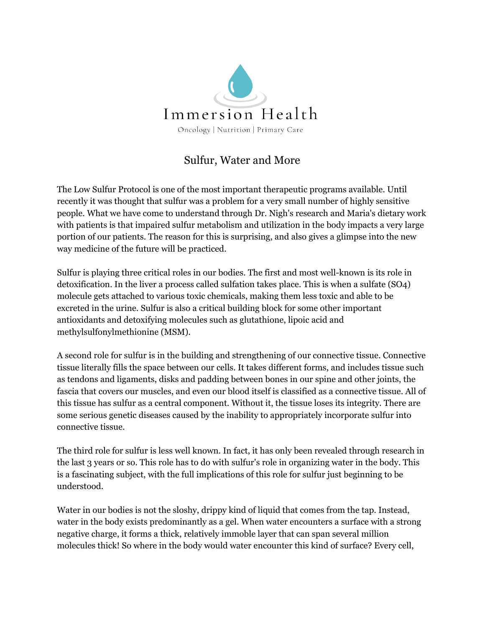

## Sulfur, Water and More

The Low Sulfur Protocol is one of the most important therapeutic programs available. Until recently it was thought that sulfur was a problem for a very small number of highly sensitive people. What we have come to understand through Dr. Nigh's research and Maria's dietary work with patients is that impaired sulfur metabolism and utilization in the body impacts a very large portion of our patients. The reason for this is surprising, and also gives a glimpse into the new way medicine of the future will be practiced.

Sulfur is playing three critical roles in our bodies. The first and most well-known is its role in detoxification. In the liver a process called sulfation takes place. This is when a sulfate (SO4) molecule gets attached to various toxic chemicals, making them less toxic and able to be excreted in the urine. Sulfur is also a critical building block for some other important antioxidants and detoxifying molecules such as glutathione, lipoic acid and methylsulfonylmethionine (MSM).

A second role for sulfur is in the building and strengthening of our connective tissue. Connective tissue literally fills the space between our cells. It takes different forms, and includes tissue such as tendons and ligaments, disks and padding between bones in our spine and other joints, the fascia that covers our muscles, and even our blood itself is classified as a connective tissue. All of this tissue has sulfur as a central component. Without it, the tissue loses its integrity. There are some serious genetic diseases caused by the inability to appropriately incorporate sulfur into connective tissue.

The third role for sulfur is less well known. In fact, it has only been revealed through research in the last 3 years or so. This role has to do with sulfur's role in organizing water in the body. This is a fascinating subject, with the full implications of this role for sulfur just beginning to be understood.

Water in our bodies is not the sloshy, drippy kind of liquid that comes from the tap. Instead, water in the body exists predominantly as a gel. When water encounters a surface with a strong negative charge, it forms a thick, relatively immoble layer that can span several million molecules thick! So where in the body would water encounter this kind of surface? Every cell,